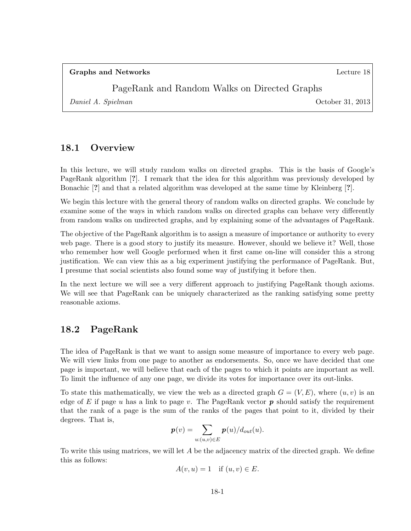#### PageRank and Random Walks on Directed Graphs

Daniel A. Spielman October 31, 2013

### 18.1 Overview

In this lecture, we will study random walks on directed graphs. This is the basis of Google's PageRank algorithm [?]. I remark that the idea for this algorithm was previously developed by Bonachic [?] and that a related algorithm was developed at the same time by Kleinberg [?].

We begin this lecture with the general theory of random walks on directed graphs. We conclude by examine some of the ways in which random walks on directed graphs can behave very differently from random walks on undirected graphs, and by explaining some of the advantages of PageRank.

The objective of the PageRank algorithm is to assign a measure of importance or authority to every web page. There is a good story to justify its measure. However, should we believe it? Well, those who remember how well Google performed when it first came on-line will consider this a strong justification. We can view this as a big experiment justifying the performance of PageRank. But, I presume that social scientists also found some way of justifying it before then.

In the next lecture we will see a very different approach to justifying PageRank though axioms. We will see that PageRank can be uniquely characterized as the ranking satisfying some pretty reasonable axioms.

### 18.2 PageRank

The idea of PageRank is that we want to assign some measure of importance to every web page. We will view links from one page to another as endorsements. So, once we have decided that one page is important, we will believe that each of the pages to which it points are important as well. To limit the influence of any one page, we divide its votes for importance over its out-links.

To state this mathematically, we view the web as a directed graph  $G = (V, E)$ , where  $(u, v)$  is an edge of E if page u has a link to page v. The PageRank vector  $p$  should satisfy the requirement that the rank of a page is the sum of the ranks of the pages that point to it, divided by their degrees. That is,

$$
\boldsymbol{p}(v) = \sum_{u: (u,v) \in E} \boldsymbol{p}(u) / d_{out}(u).
$$

To write this using matrices, we will let  $A$  be the adjacency matrix of the directed graph. We define this as follows:

$$
A(v, u) = 1 \quad \text{if } (u, v) \in E.
$$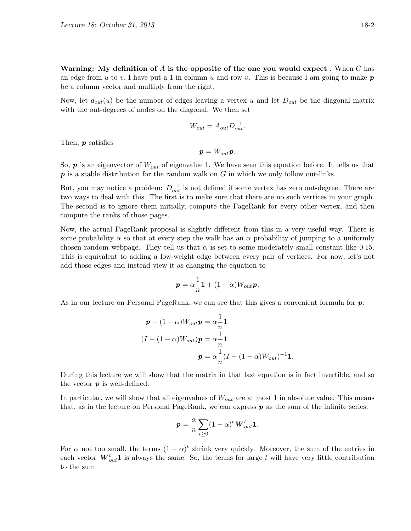Warning: My definition of A is the opposite of the one you would expect. When G has an edge from u to v, I have put a 1 in column u and row v. This is because I am going to make  $p$ be a column vector and multiply from the right.

Now, let  $d_{out}(u)$  be the number of edges leaving a vertex u and let  $D_{out}$  be the diagonal matrix with the out-degrees of nodes on the diagonal. We then set

$$
W_{out} = A_{out} D_{out}^{-1}.
$$

Then,  $\boldsymbol{p}$  satisfies

$$
p = W_{out}p.
$$

So,  $p$  is an eigenvector of  $W_{out}$  of eigenvalue 1. We have seen this equation before. It tells us that  $p$  is a stable distribution for the random walk on G in which we only follow out-links.

But, you may notice a problem:  $D_{out}^{-1}$  is not defined if some vertex has zero out-degree. There are two ways to deal with this. The first is to make sure that there are no such vertices in your graph. The second is to ignore them initially, compute the PageRank for every other vertex, and then compute the ranks of those pages.

Now, the actual PageRank proposal is slightly different from this in a very useful way. There is some probability  $\alpha$  so that at every step the walk has an  $\alpha$  probability of jumping to a uniformly chosen random webpage. They tell us that  $\alpha$  is set to some moderately small constant like 0.15. This is equivalent to adding a low-weight edge between every pair of vertices. For now, let's not add those edges and instead view it as changing the equation to

$$
\boldsymbol{p} = \alpha \frac{1}{n} \mathbf{1} + (1 - \alpha) W_{out} \boldsymbol{p}.
$$

As in our lecture on Personal PageRank, we can see that this gives a convenient formula for  $p$ :

$$
\mathbf{p} - (1 - \alpha)W_{out}\mathbf{p} = \alpha \frac{1}{n}\mathbf{1}
$$

$$
(I - (1 - \alpha)W_{out})\mathbf{p} = \alpha \frac{1}{n}\mathbf{1}
$$

$$
\mathbf{p} = \alpha \frac{1}{n}(I - (1 - \alpha)W_{out})^{-1}\mathbf{1}.
$$

During this lecture we will show that the matrix in that last equation is in fact invertible, and so the vector  $p$  is well-defined.

In particular, we will show that all eigenvalues of  $W_{out}$  are at most 1 in absolute value. This means that, as in the lecture on Personal PageRank, we can express  $p$  as the sum of the infinite series:

$$
\boldsymbol{p} = \frac{\alpha}{n} \sum_{t \geq 0} (1 - \alpha)^t \boldsymbol{W}_{out}^t \mathbf{1}.
$$

For  $\alpha$  not too small, the terms  $(1 - \alpha)^t$  shrink very quickly. Moreover, the sum of the entries in each vector  $\boldsymbol{W}_{out}^t \boldsymbol{1}$  is always the same. So, the terms for large t will have very little contribution to the sum.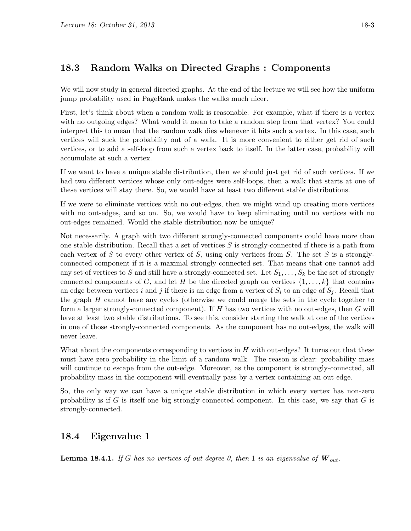# 18.3 Random Walks on Directed Graphs : Components

We will now study in general directed graphs. At the end of the lecture we will see how the uniform jump probability used in PageRank makes the walks much nicer.

First, let's think about when a random walk is reasonable. For example, what if there is a vertex with no outgoing edges? What would it mean to take a random step from that vertex? You could interpret this to mean that the random walk dies whenever it hits such a vertex. In this case, such vertices will suck the probability out of a walk. It is more convenient to either get rid of such vertices, or to add a self-loop from such a vertex back to itself. In the latter case, probability will accumulate at such a vertex.

If we want to have a unique stable distribution, then we should just get rid of such vertices. If we had two different vertices whose only out-edges were self-loops, then a walk that starts at one of these vertices will stay there. So, we would have at least two different stable distributions.

If we were to eliminate vertices with no out-edges, then we might wind up creating more vertices with no out-edges, and so on. So, we would have to keep eliminating until no vertices with no out-edges remained. Would the stable distribution now be unique?

Not necessarily. A graph with two different strongly-connected components could have more than one stable distribution. Recall that a set of vertices  $S$  is strongly-connected if there is a path from each vertex of S to every other vertex of S, using only vertices from S. The set S is a stronglyconnected component if it is a maximal strongly-connected set. That means that one cannot add any set of vertices to S and still have a strongly-connected set. Let  $S_1, \ldots, S_k$  be the set of strongly connected components of G, and let H be the directed graph on vertices  $\{1,\ldots,k\}$  that contains an edge between vertices i and j if there is an edge from a vertex of  $S_i$  to an edge of  $S_j$ . Recall that the graph  $H$  cannot have any cycles (otherwise we could merge the sets in the cycle together to form a larger strongly-connected component). If H has two vertices with no out-edges, then G will have at least two stable distributions. To see this, consider starting the walk at one of the vertices in one of those strongly-connected components. As the component has no out-edges, the walk will never leave.

What about the components corresponding to vertices in  $H$  with out-edges? It turns out that these must have zero probability in the limit of a random walk. The reason is clear: probability mass will continue to escape from the out-edge. Moreover, as the component is strongly-connected, all probability mass in the component will eventually pass by a vertex containing an out-edge.

So, the only way we can have a unique stable distribution in which every vertex has non-zero probability is if  $G$  is itself one big strongly-connected component. In this case, we say that  $G$  is strongly-connected.

# 18.4 Eigenvalue 1

**Lemma 18.4.1.** If G has no vertices of out-degree 0, then 1 is an eigenvalue of  $\boldsymbol{W}_{out}$ .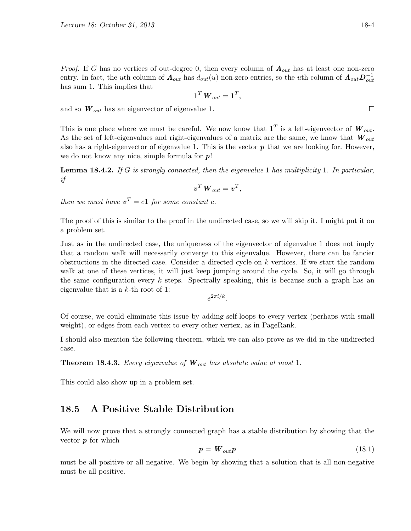*Proof.* If G has no vertices of out-degree 0, then every column of  $A_{out}$  has at least one non-zero entry. In fact, the uth column of  $A_{out}$  has  $d_{out}(u)$  non-zero entries, so the uth column of  $A_{out}D_{out}^{-1}$ has sum 1. This implies that

$$
\mathbf{1}^T\,\bm{W}_{out}=\mathbf{1}^T,
$$

and so  $W_{out}$  has an eigenvector of eigenvalue 1.

This is one place where we must be careful. We now know that  $\mathbf{1}^T$  is a left-eigenvector of  $\mathbf{W}_{out}$ . As the set of left-eigenvalues and right-eigenvalues of a matrix are the same, we know that  $W_{out}$ also has a right-eigenvector of eigenvalue 1. This is the vector  $p$  that we are looking for. However, we do not know any nice, simple formula for  $p!$ 

**Lemma 18.4.2.** If G is strongly connected, then the eigenvalue 1 has multiplicity 1. In particular, if

$$
\boldsymbol{v}^T \, \boldsymbol{W}_{out} = \boldsymbol{v}^T,
$$

then we must have  $v^T = c\mathbf{1}$  for some constant c.

The proof of this is similar to the proof in the undirected case, so we will skip it. I might put it on a problem set.

Just as in the undirected case, the uniqueness of the eigenvector of eigenvalue 1 does not imply that a random walk will necessarily converge to this eigenvalue. However, there can be fancier obstructions in the directed case. Consider a directed cycle on k vertices. If we start the random walk at one of these vertices, it will just keep jumping around the cycle. So, it will go through the same configuration every  $k$  steps. Spectrally speaking, this is because such a graph has an eigenvalue that is a  $k$ -th root of 1:

 $e^{2\pi i/k}$ .

Of course, we could eliminate this issue by adding self-loops to every vertex (perhaps with small weight), or edges from each vertex to every other vertex, as in PageRank.

I should also mention the following theorem, which we can also prove as we did in the undirected case.

**Theorem 18.4.3.** Every eigenvalue of  $W_{out}$  has absolute value at most 1.

This could also show up in a problem set.

### 18.5 A Positive Stable Distribution

We will now prove that a strongly connected graph has a stable distribution by showing that the vector  $p$  for which

$$
p = W_{out}p \tag{18.1}
$$

must be all positive or all negative. We begin by showing that a solution that is all non-negative must be all positive.

 $\Box$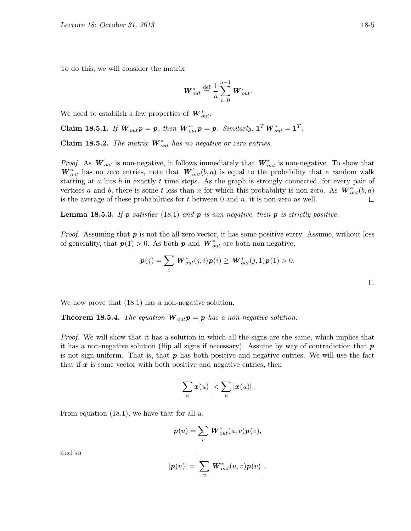To do this, we will consider the matrix

$$
\boldsymbol{W}_{out}^* \stackrel{\text{def}}{=} \frac{1}{n} \sum_{i=0}^{n-1} \boldsymbol{W}_{out}^i.
$$

We need to establish a few properties of  $\boldsymbol{W}_{out}^*$ .

Claim 18.5.1. If  $\mathbf{W}_{out} \mathbf{p} = \mathbf{p}$ , then  $\mathbf{W}_{out}^* \mathbf{p} = \mathbf{p}$ . Similarly,  $\mathbf{1}^T \mathbf{W}_{out}^* = \mathbf{1}^T$ .

**Claim 18.5.2.** The matrix  $\boldsymbol{W}_{out}^{*}$  has no negative or zero entries.

*Proof.* As  $W_{out}$  is non-negative, it follows immediately that  $W_{out}^*$  is non-negative. To show that  $\boldsymbol{W}_{out}^*$  has no zero entries, note that  $\boldsymbol{W}_{out}^t(b,a)$  is equal to the probability that a random walk starting at  $a$  hits  $b$  in exactly  $t$  time steps. As the graph is strongly connected, for every pair of vertices a and b, there is some t less than n for which this probability is non-zero. As  $\mathbf{W}_{out}^*(b, a)$ is the average of these probabilities for  $t$  between 0 and  $n$ , it is non-zero as well.  $\Box$ 

**Lemma 18.5.3.** If p satisfies (18.1) and p is non-negative, then p is strictly positive.

*Proof.* Assuming that  $p$  is not the all-zero vector, it has some positive entry. Assume, without loss of generality, that  $p(1) > 0$ . As both p and  $W_{out}^*$  are both non-negative,

$$
\boldsymbol{p}(j) = \sum_{i} \boldsymbol{W}_{out}^{*}(j, i) \boldsymbol{p}(i) \geq \boldsymbol{W}_{out}^{*}(j, 1) \boldsymbol{p}(1) > 0.
$$

 $\Box$ 

We now prove that  $(18.1)$  has a non-negative solution.

**Theorem 18.5.4.** The equation  $W_{out}p = p$  has a non-negative solution.

Proof. We will show that it has a solution in which all the signs are the same, which implies that it has a non-negative solution (flip all signs if necessary). Assume by way of contradiction that  $p$ is not sign-uniform. That is, that  $p$  has both positive and negative entries. We will use the fact that if  $x$  is some vector with both positive and negative entries, then

$$
\left|\sum_{u} x(u)\right| < \sum_{u} |x(u)|\,.
$$

From equation (18.1), we have that for all  $u$ ,

$$
\boldsymbol{p}(u) = \sum_{v} \boldsymbol{W}_{out}^{*}(u, v) \boldsymbol{p}(v),
$$

and so

$$
|\boldsymbol{p}(u)| = \left|\sum_{v} \boldsymbol{W}^*_{out}(u,v)\boldsymbol{p}(v)\right|.
$$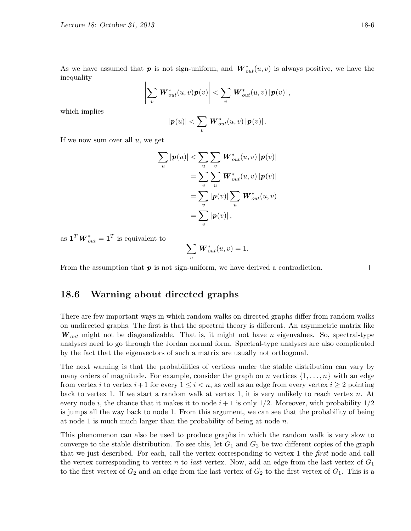As we have assumed that  $p$  is not sign-uniform, and  $\boldsymbol{W}_{out}^*(u, v)$  is always positive, we have the inequality

$$
\left|\sum_{v} \mathbf{W}_{out}^{*}(u,v)\mathbf{p}(v)\right| < \sum_{v} \mathbf{W}_{out}^{*}(u,v) \left|\mathbf{p}(v)\right|,
$$

which implies

$$
|\boldsymbol{p}(u)| < \sum_{v} \boldsymbol{W}_{out}^{*}(u,v) |\boldsymbol{p}(v)|.
$$

If we now sum over all  $u$ , we get

$$
\sum_{u} |\mathbf{p}(u)| < \sum_{u} \sum_{v} \mathbf{W}_{out}^{*}(u, v) |\mathbf{p}(v)|
$$
  
= 
$$
\sum_{v} \sum_{u} \mathbf{W}_{out}^{*}(u, v) |\mathbf{p}(v)|
$$
  
= 
$$
\sum_{v} |\mathbf{p}(v)| \sum_{u} \mathbf{W}_{out}^{*}(u, v)
$$
  
= 
$$
\sum_{v} |\mathbf{p}(v)|,
$$

as  $\mathbf{1}^T \boldsymbol{W}_{out}^* = \mathbf{1}^T$  is equivalent to

$$
\sum_{u} \mathbf{W}_{out}^{*}(u,v) = 1.
$$

From the assumption that  $p$  is not sign-uniform, we have derived a contradiction.

### 18.6 Warning about directed graphs

There are few important ways in which random walks on directed graphs differ from random walks on undirected graphs. The first is that the spectral theory is different. An asymmetric matrix like  $\mathbf{W}_{out}$  might not be diagonalizable. That is, it might not have *n* eigenvalues. So, spectral-type analyses need to go through the Jordan normal form. Spectral-type analyses are also complicated by the fact that the eigenvectors of such a matrix are usually not orthogonal.

The next warning is that the probabilities of vertices under the stable distribution can vary by many orders of magnitude. For example, consider the graph on n vertices  $\{1, \ldots, n\}$  with an edge from vertex i to vertex  $i+1$  for every  $1 \leq i \leq n$ , as well as an edge from every vertex  $i \geq 2$  pointing back to vertex 1. If we start a random walk at vertex 1, it is very unlikely to reach vertex  $n$ . At every node i, the chance that it makes it to node  $i+1$  is only 1/2. Moreover, with probability 1/2 is jumps all the way back to node 1. From this argument, we can see that the probability of being at node 1 is much much larger than the probability of being at node  $n$ .

This phenomenon can also be used to produce graphs in which the random walk is very slow to converge to the stable distribution. To see this, let  $G_1$  and  $G_2$  be two different copies of the graph that we just described. For each, call the vertex corresponding to vertex 1 the *first* node and call the vertex corresponding to vertex n to last vertex. Now, add an edge from the last vertex of  $G_1$ to the first vertex of  $G_2$  and an edge from the last vertex of  $G_2$  to the first vertex of  $G_1$ . This is a

 $\Box$